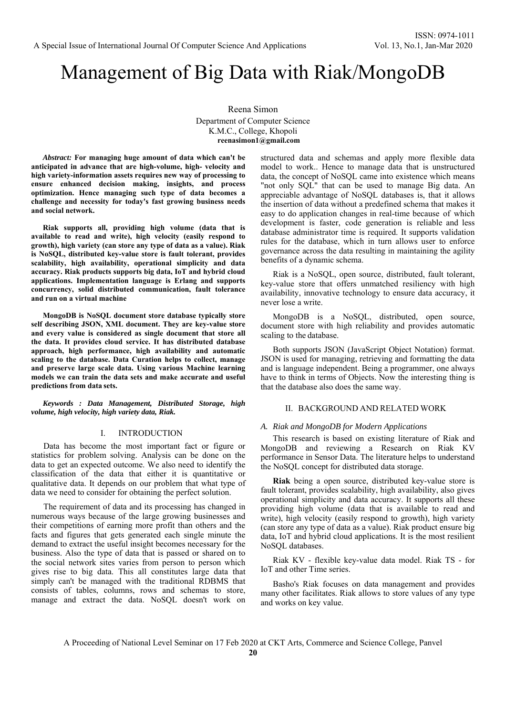# Management of Big Data with Riak/MongoDB

Reena Simon Department of Computer Science K.M.C., College, Khopoli **reenasimon1@gmail.com** 

*Abstract:* **For managing huge amount of data which can't be anticipated in advance that are high-volume, high- velocity and high variety-information assets requires new way of processing to ensure enhanced decision making, insights, and process optimization. Hence managing such type of data becomes a challenge and necessity for today's fast growing business needs and social network.** 

**Riak supports all, providing high volume (data that is available to read and write), high velocity (easily respond to growth), high variety (can store any type of data as a value). Riak is NoSQL, distributed key-value store is fault tolerant, provides scalability, high availability, operational simplicity and data accuracy. Riak products supports big data, IoT and hybrid cloud applications. Implementation language is Erlang and supports concurrency, solid distributed communication, fault tolerance and run on a virtual machine** 

**MongoDB is NoSQL document store database typically store self describing JSON, XML document. They are key-value store and every value is considered as single document that store all the data. It provides cloud service. It has distributed database approach, high performance, high availability and automatic scaling to the database. Data Curation helps to collect, manage and preserve large scale data. Using various Machine learning models we can train the data sets and make accurate and useful predictions from data sets.**

*Keywords : Data Management, Distributed Storage, high volume, high velocity, high variety data, Riak.* 

#### I. INTRODUCTION

Data has become the most important fact or figure or statistics for problem solving. Analysis can be done on the data to get an expected outcome. We also need to identify the classification of the data that either it is quantitative or qualitative data. It depends on our problem that what type of data we need to consider for obtaining the perfect solution.

The requirement of data and its processing has changed in numerous ways because of the large growing businesses and their competitions of earning more profit than others and the facts and figures that gets generated each single minute the demand to extract the useful insight becomes necessary for the business. Also the type of data that is passed or shared on to the social network sites varies from person to person which gives rise to big data. This all constitutes large data that simply can't be managed with the traditional RDBMS that consists of tables, columns, rows and schemas to store, manage and extract the data. NoSQL doesn't work on structured data and schemas and apply more flexible data model to work.. Hence to manage data that is unstructured data, the concept of NoSQL came into existence which means "not only SQL" that can be used to manage Big data. An appreciable advantage of NoSQL databases is, that it allows the insertion of data without a predefined schema that makes it easy to do application changes in real-time because of which development is faster, code generation is reliable and less database administrator time is required. It supports validation rules for the database, which in turn allows user to enforce governance across the data resulting in maintaining the agility benefits of a dynamic schema.

Riak is a NoSQL, open source, distributed, fault tolerant, key-value store that offers unmatched resiliency with high availability, innovative technology to ensure data accuracy, it never lose a write.

MongoDB is a NoSQL, distributed, open source, document store with high reliability and provides automatic scaling to the database.

Both supports JSON (JavaScript Object Notation) format. JSON is used for managing, retrieving and formatting the data and is language independent. Being a programmer, one always have to think in terms of Objects. Now the interesting thing is that the database also does the same way.

## II. BACKGROUND AND RELATED WORK

#### *A. Riak and MongoDB for Modern Applications*

This research is based on existing literature of Riak and MongoDB and reviewing a Research on Riak KV performance in Sensor Data. The literature helps to understand the NoSQL concept for distributed data storage.

**Riak** being a open source, distributed key-value store is fault tolerant, provides scalability, high availability, also gives operational simplicity and data accuracy. It supports all these providing high volume (data that is available to read and write), high velocity (easily respond to growth), high variety (can store any type of data as a value). Riak product ensure big data, IoT and hybrid cloud applications. It is the most resilient NoSQL databases.

Riak KV - flexible key-value data model. Riak TS - for IoT and other Time series.

Basho's Riak focuses on data management and provides many other facilitates. Riak allows to store values of any type and works on key value.

A Proceeding of National Level Seminar on 17 Feb 2020 at CKT Arts, Commerce and Science College, Panvel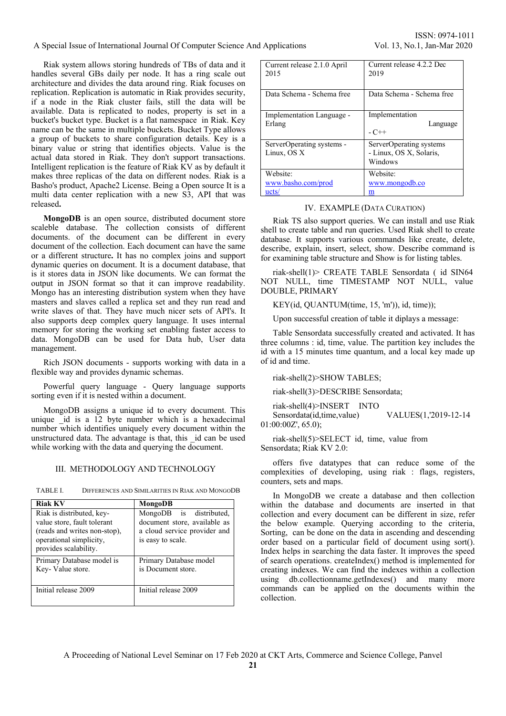A Special Issue of International Journal Of Computer Science And Applications Vol. 13, No.1, Jan-Mar 2020

Riak system allows storing hundreds of TBs of data and it handles several GBs daily per node. It has a ring scale out architecture and divides the data around ring. Riak focuses on replication. Replication is automatic in Riak provides security, if a node in the Riak cluster fails, still the data will be available. Data is replicated to nodes, property is set in a bucket's bucket type. Bucket is a flat namespace in Riak. Key name can be the same in multiple buckets. Bucket Type allows a group of buckets to share configuration details. Key is a binary value or string that identifies objects. Value is the actual data stored in Riak. They don't support transactions. Intelligent replication is the feature of Riak KV as by default it makes three replicas of the data on different nodes. Riak is a Basho's product, Apache2 License. Being a Open source It is a multi data center replication with a new S3, API that was released**.** 

**MongoDB** is an open source, distributed document store scaleble database. The collection consists of different documents. of the document can be different in every document of the collection. Each document can have the same or a different structure**.** It has no complex joins and support dynamic queries on document. It is a document database, that is it stores data in JSON like documents. We can format the output in JSON format so that it can improve readability. Mongo has an interesting distribution system when they have masters and slaves called a replica set and they run read and write slaves of that. They have much nicer sets of API's. It also supports deep complex query language. It uses internal memory for storing the working set enabling faster access to data. MongoDB can be used for Data hub, User data management.

Rich JSON documents - supports working with data in a flexible way and provides dynamic schemas.

Powerful query language - Query language supports sorting even if it is nested within a document.

MongoDB assigns a unique id to every document. This unique id is a 12 byte number which is a hexadecimal number which identifies uniquely every document within the unstructured data. The advantage is that, this \_id can be used while working with the data and querying the document.

### III. METHODOLOGY AND TECHNOLOGY

TABLE I. DIFFERENCES AND SIMILARITIES IN RIAK AND MONGODB

| <b>Riak KV</b>                                                                                                                               | MongoDB                                                                                                      |
|----------------------------------------------------------------------------------------------------------------------------------------------|--------------------------------------------------------------------------------------------------------------|
| Riak is distributed, key-<br>value store, fault tolerant<br>(reads and writes non-stop),<br>operational simplicity,<br>provides scalability. | MongoDB is distributed,<br>document store, available as<br>a cloud service provider and<br>is easy to scale. |
| Primary Database model is<br>Key-Value store.                                                                                                | Primary Database model<br>is Document store.                                                                 |
| Initial release 2009                                                                                                                         | Initial release 2009                                                                                         |

| Current release 2.1.0 April<br>2015 | Current release 4.2.2 Dec<br>2019 |
|-------------------------------------|-----------------------------------|
| Data Schema - Schema free           | Data Schema - Schema free         |
| Implementation Language -           | Implementation                    |
| Erlang                              | Language                          |
|                                     | $-C++$                            |
| ServerOperating systems -           | ServerOperating systems           |
| Linux, OS X                         | - Linux, OS X, Solaris,           |
|                                     | Windows                           |
| Website:                            | Website:                          |
| www.basho.com/prod                  | www.mongodb.co                    |
| ucts/                               | m                                 |

## IV. EXAMPLE (DATA CURATION)

Riak TS also support queries. We can install and use Riak shell to create table and run queries. Used Riak shell to create database. It supports various commands like create, delete, describe, explain, insert, select, show. Describe command is for examining table structure and Show is for listing tables.

riak-shell(1)> CREATE TABLE Sensordata ( id SIN64 NOT NULL, time TIMESTAMP NOT NULL, value DOUBLE, PRIMARY

KEY(id, QUANTUM(time, 15, 'm')), id, time));

Upon successful creation of table it diplays a message:

Table Sensordata successfully created and activated. It has three columns : id, time, value. The partition key includes the id with a 15 minutes time quantum, and a local key made up of id and time.

riak-shell(2)>SHOW TABLES;

riak-shell(3)>DESCRIBE Sensordata;

riak-shell(4)>INSERT INTO Sensordata(id,time,value) VALUES(1,'2019-12-14 01:00:00Z', 65.0);

## riak-shell(5)>SELECT id, time, value from Sensordata; Riak KV 2.0:

offers five datatypes that can reduce some of the complexities of developing, using riak : flags, registers, counters, sets and maps.

In MongoDB we create a database and then collection within the database and documents are inserted in that collection and every document can be different in size, refer the below example. Querying according to the criteria, Sorting, can be done on the data in ascending and descending order based on a particular field of document using sort(). Index helps in searching the data faster. It improves the speed of search operations. createIndex() method is implemented for creating indexes. We can find the indexes within a collection using db.collectionname.getIndexes() and many more commands can be applied on the documents within the collection.

A Proceeding of National Level Seminar on 17 Feb 2020 at CKT Arts, Commerce and Science College, Panvel